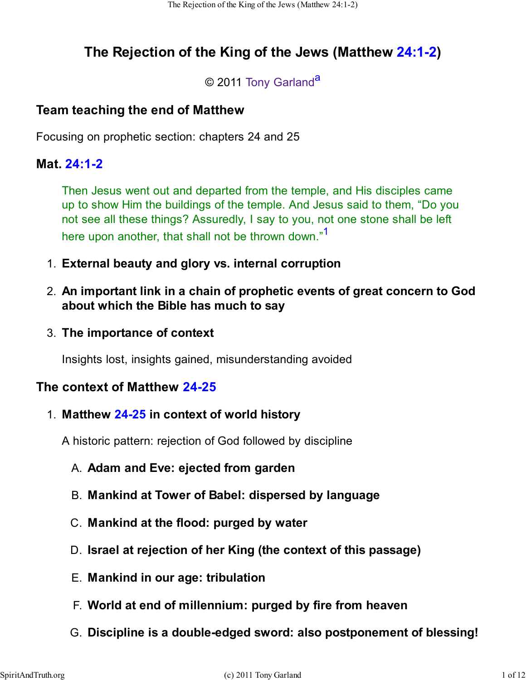# **The Rejection of the King of the Jews (Matthew 24:1-2)**

### © 2011 Tony Garland<sup>a</sup>

## **Team teaching the end of Matthew**

Focusing on prophetic section: chapters 24 and 25

### **Mat. 24:1-2**

Then Jesus went out and departed from the temple, and His disciples came up to show Him the buildings of the temple. And Jesus said to them, "Do you not see all these things? Assuredly, I say to you, not one stone shall be left here upon another, that shall not be thrown down."<sup>1</sup>

- 1. **External beauty and glory vs. internal corruption**
- **An important link in a chain of prophetic events of great concern to God** 2. **about which the Bible has much to say**
- **The importance of context** 3.

Insights lost, insights gained, misunderstanding avoided

#### **The context of Matthew 24-25**

**Matthew 24-25 in context of world history** 1.

A historic pattern: rejection of God followed by discipline

- A. **Adam and Eve: ejected from garden**
- B. **Mankind at Tower of Babel: dispersed by language**
- C. **Mankind at the flood: purged by water**
- D. **Israel at rejection of her King (the context of this passage)**
- E. **Mankind in our age: tribulation**
- F. **World at end of millennium: purged by fire from heaven**
- G. **Discipline is a double-edged sword: also postponement of blessing!**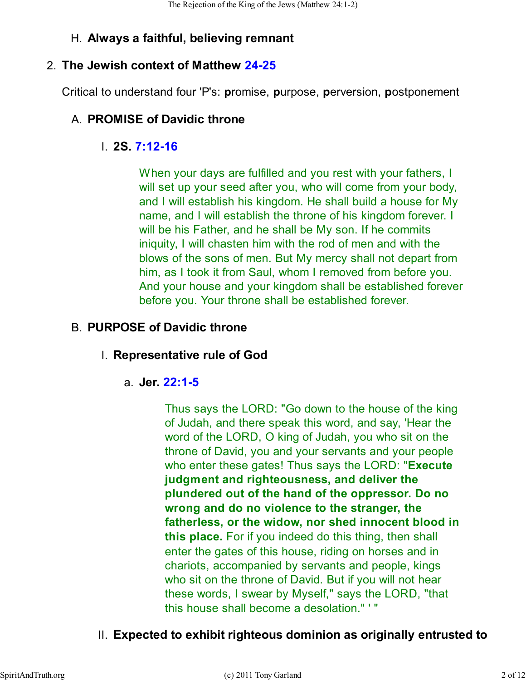# H. **Always a faithful, believing remnant**

### **The Jewish context of Matthew 24-25** 2.

Critical to understand four 'P's: **p**romise, **p**urpose, **p**erversion, **p**ostponement

# A. **PROMISE of Davidic throne**

# **2S. 7:12-16** I.

When your days are fulfilled and you rest with your fathers, I will set up your seed after you, who will come from your body, and I will establish his kingdom. He shall build a house for My name, and I will establish the throne of his kingdom forever. I will be his Father, and he shall be My son. If he commits iniquity, I will chasten him with the rod of men and with the blows of the sons of men. But My mercy shall not depart from him, as I took it from Saul, whom I removed from before you. And your house and your kingdom shall be established forever before you. Your throne shall be established forever.

# B. **PURPOSE of Davidic throne**

# I. **Representative rule of God**

# **Jer. 22:1-5** a.

Thus says the LORD: "Go down to the house of the king of Judah, and there speak this word, and say, 'Hear the word of the LORD, O king of Judah, you who sit on the throne of David, you and your servants and your people who enter these gates! Thus says the LORD: "**Execute judgment and righteousness, and deliver the plundered out of the hand of the oppressor. Do no wrong and do no violence to the stranger, the fatherless, or the widow, nor shed innocent blood in this place.** For if you indeed do this thing, then shall enter the gates of this house, riding on horses and in chariots, accompanied by servants and people, kings who sit on the throne of David. But if you will not hear these words, I swear by Myself," says the LORD, "that this house shall become a desolation." ' "

# II. **Expected to exhibit righteous dominion as originally entrusted to**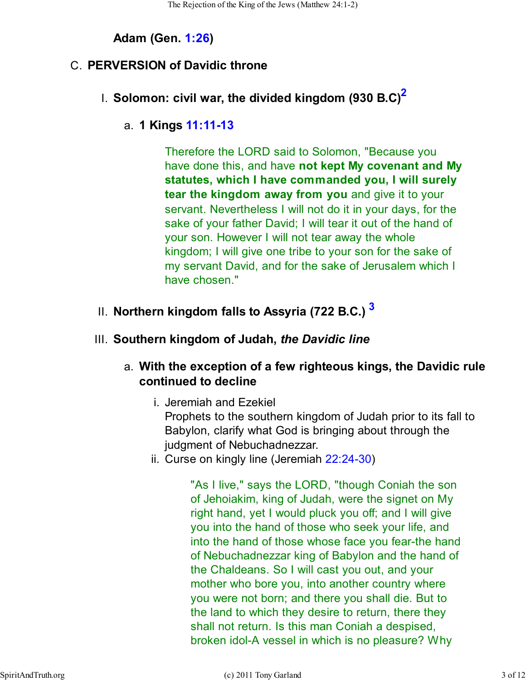### **Adam (Gen. 1:26)**

#### C. **PERVERSION of Davidic throne**

- **Solomon: civil war, the divided kingdom (930 B.C)<sup>2</sup>** I.
	- **1 Kings 11:11-13** a.

Therefore the LORD said to Solomon, "Because you have done this, and have **not kept My covenant and My statutes, which I have commanded you, I will surely tear the kingdom away from you** and give it to your servant. Nevertheless I will not do it in your days, for the sake of your father David; I will tear it out of the hand of your son. However I will not tear away the whole kingdom; I will give one tribe to your son for the sake of my servant David, and for the sake of Jerusalem which I have chosen."

- **Northern kingdom falls to Assyria (722 B.C.) <sup>3</sup>** II.
- III. **Southern kingdom of Judah,** *the Davidic line*
	- **With the exception of a few righteous kings, the Davidic rule** a. **continued to decline**
		- i. Jeremiah and Ezekiel Prophets to the southern kingdom of Judah prior to its fall to Babylon, clarify what God is bringing about through the judgment of Nebuchadnezzar.
		- ii. Curse on kingly line (Jeremiah 22:24-30)

"As I live," says the LORD, "though Coniah the son of Jehoiakim, king of Judah, were the signet on My right hand, yet I would pluck you off; and I will give you into the hand of those who seek your life, and into the hand of those whose face you fear-the hand of Nebuchadnezzar king of Babylon and the hand of the Chaldeans. So I will cast you out, and your mother who bore you, into another country where you were not born; and there you shall die. But to the land to which they desire to return, there they shall not return. Is this man Coniah a despised, broken idol-A vessel in which is no pleasure? Why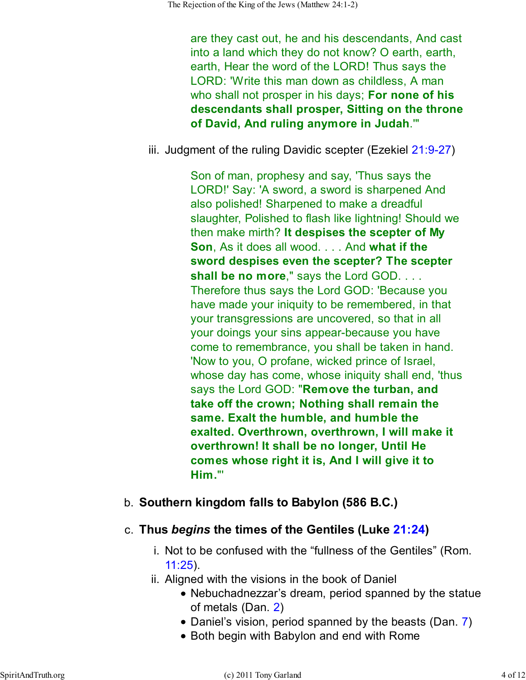are they cast out, he and his descendants, And cast into a land which they do not know? O earth, earth, earth, Hear the word of the LORD! Thus says the LORD: 'Write this man down as childless, A man who shall not prosper in his days; **For none of his descendants shall prosper, Sitting on the throne of David, And ruling anymore in Judah**.'"

iii. Judgment of the ruling Davidic scepter (Ezekiel 21:9-27)

Son of man, prophesy and say, 'Thus says the LORD!' Say: 'A sword, a sword is sharpened And also polished! Sharpened to make a dreadful slaughter, Polished to flash like lightning! Should we then make mirth? **It despises the scepter of My Son**, As it does all wood. . . . And **what if the sword despises even the scepter? The scepter shall be no more**," says the Lord GOD. . . . Therefore thus says the Lord GOD: 'Because you have made your iniquity to be remembered, in that your transgressions are uncovered, so that in all your doings your sins appear-because you have come to remembrance, you shall be taken in hand. 'Now to you, O profane, wicked prince of Israel, whose day has come, whose iniquity shall end, 'thus says the Lord GOD: "**Remove the turban, and take off the crown; Nothing shall remain the same. Exalt the humble, and humble the exalted. Overthrown, overthrown, I will make it overthrown! It shall be no longer, Until He comes whose right it is, And I will give it to Him.**"'

#### b. **Southern kingdom falls to Babylon (586 B.C.)**

- c. **Thus** *begins* **the times of the Gentiles (Luke 21:24)**
	- i. Not to be confused with the "fullness of the Gentiles" (Rom. 11:25).
	- Aligned with the visions in the book of Daniel ii.
		- Nebuchadnezzar's dream, period spanned by the statue of metals (Dan. 2)
		- Daniel's vision, period spanned by the beasts (Dan. 7)
		- Both begin with Babylon and end with Rome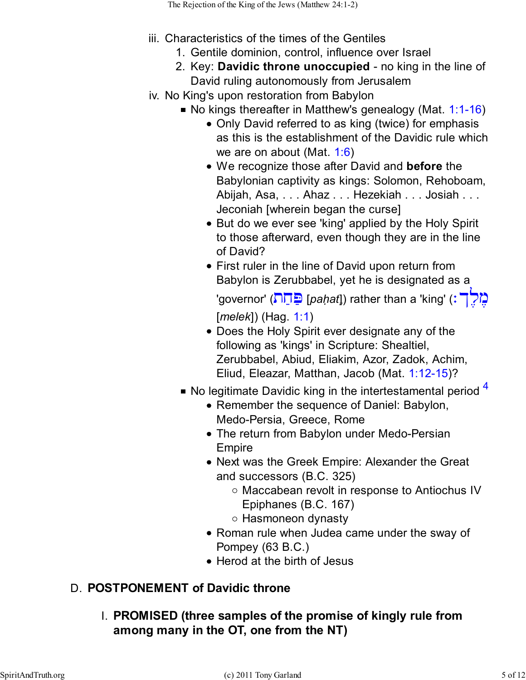- iii. Characteristics of the times of the Gentiles
	- 1. Gentile dominion, control, influence over Israel
	- 2. Key: Davidic throne unoccupied no king in the line of David ruling autonomously from Jerusalem
- iv. No King's upon restoration from Babylon
	- No kings thereafter in Matthew's genealogy (Mat. 1:1-16)
		- Only David referred to as king (twice) for emphasis as this is the establishment of the Davidic rule which we are on about (Mat. 1:6)
		- We recognize those after David and **before** the Babylonian captivity as kings: Solomon, Rehoboam, Abijah, Asa, . . . Ahaz . . . Hezekiah . . . Josiah . . . Jeconiah [wherein began the curse]
		- But do we ever see 'king' applied by the Holy Spirit to those afterward, even though they are in the line of David?
		- First ruler in the line of David upon return from Babylon is Zerubbabel, yet he is designated as a

'governor' (תַּחַ *בַּ*חַהַן]) rather than a 'king' (דָּ [*melek*]) (Hag. 1:1)

- Does the Holy Spirit ever designate any of the following as 'kings' in Scripture: Shealtiel, Zerubbabel, Abiud, Eliakim, Azor, Zadok, Achim, Eliud, Eleazar, Matthan, Jacob (Mat. 1:12-15)?
- No legitimate Davidic king in the intertestamental period  $4$ 
	- Remember the sequence of Daniel: Babylon, Medo-Persia, Greece, Rome
	- The return from Babylon under Medo-Persian Empire
	- Next was the Greek Empire: Alexander the Great and successors (B.C. 325)
		- o Maccabean revolt in response to Antiochus IV Epiphanes (B.C. 167)
		- $\circ$  Hasmoneon dynasty
	- Roman rule when Judea came under the sway of Pompey (63 B.C.)
	- Herod at the birth of Jesus

# D. **POSTPONEMENT of Davidic throne**

**PROMISED (three samples of the promise of kingly rule from** I. **among many in the OT, one from the NT)**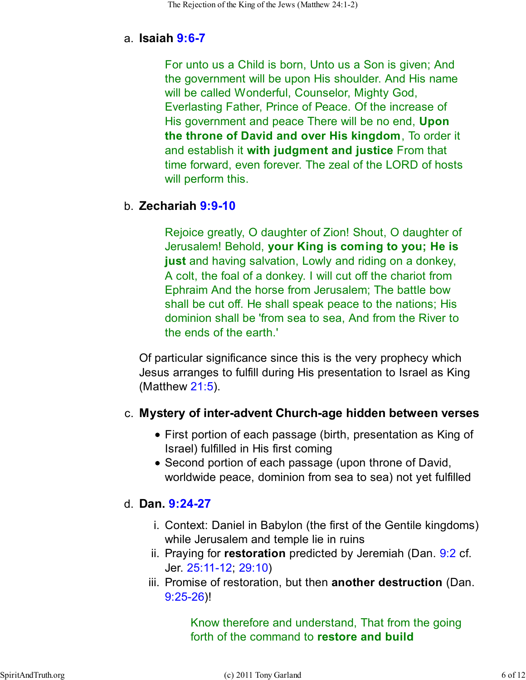#### **Isaiah 9:6-7** a.

For unto us a Child is born, Unto us a Son is given; And the government will be upon His shoulder. And His name will be called Wonderful, Counselor, Mighty God, Everlasting Father, Prince of Peace. Of the increase of His government and peace There will be no end, **Upon the throne of David and over His kingdom**, To order it and establish it **with judgment and justice** From that time forward, even forever. The zeal of the LORD of hosts will perform this.

# **Zechariah 9:9-10** b.

Rejoice greatly, O daughter of Zion! Shout, O daughter of Jerusalem! Behold, **your King is coming to you; He is just** and having salvation, Lowly and riding on a donkey, A colt, the foal of a donkey. I will cut off the chariot from Ephraim And the horse from Jerusalem; The battle bow shall be cut off. He shall speak peace to the nations; His dominion shall be 'from sea to sea, And from the River to the ends of the earth.'

Of particular significance since this is the very prophecy which Jesus arranges to fulfill during His presentation to Israel as King (Matthew 21:5).

#### **Mystery of inter-advent Church-age hidden between verses** c.

- First portion of each passage (birth, presentation as King of Israel) fulfilled in His first coming
- Second portion of each passage (upon throne of David, worldwide peace, dominion from sea to sea) not yet fulfilled

#### d. **Dan. 9:24-27**

- i. Context: Daniel in Babylon (the first of the Gentile kingdoms) while Jerusalem and temple lie in ruins
- ii. Praying for **restoration** predicted by Jeremiah (Dan. 9:2 cf. Jer. 25:11-12; 29:10)
- iii. Promise of restoration, but then **another destruction** (Dan. 9:25-26)!

Know therefore and understand, That from the going forth of the command to **restore and build**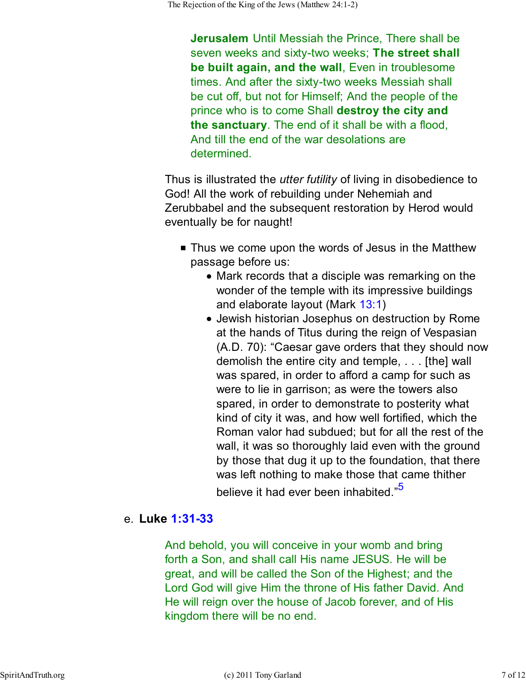**Jerusalem** Until Messiah the Prince, There shall be seven weeks and sixty-two weeks; **The street shall be built again, and the wall**, Even in troublesome times. And after the sixty-two weeks Messiah shall be cut off, but not for Himself; And the people of the prince who is to come Shall **destroy the city and the sanctuary**. The end of it shall be with a flood, And till the end of the war desolations are determined.

Thus is illustrated the *utter futility* of living in disobedience to God! All the work of rebuilding under Nehemiah and Zerubbabel and the subsequent restoration by Herod would eventually be for naught!

- Thus we come upon the words of Jesus in the Matthew passage before us:
	- Mark records that a disciple was remarking on the wonder of the temple with its impressive buildings and elaborate layout (Mark 13:1)
	- Jewish historian Josephus on destruction by Rome at the hands of Titus during the reign of Vespasian (A.D. 70): "Caesar gave orders that they should now demolish the entire city and temple, . . . [the] wall was spared, in order to afford a camp for such as were to lie in garrison; as were the towers also spared, in order to demonstrate to posterity what kind of city it was, and how well fortified, which the Roman valor had subdued; but for all the rest of the wall, it was so thoroughly laid even with the ground by those that dug it up to the foundation, that there was left nothing to make those that came thither believe it had ever been inhabited."<sup>5</sup>

#### **Luke 1:31-33** e.

And behold, you will conceive in your womb and bring forth a Son, and shall call His name JESUS. He will be great, and will be called the Son of the Highest; and the Lord God will give Him the throne of His father David. And He will reign over the house of Jacob forever, and of His kingdom there will be no end.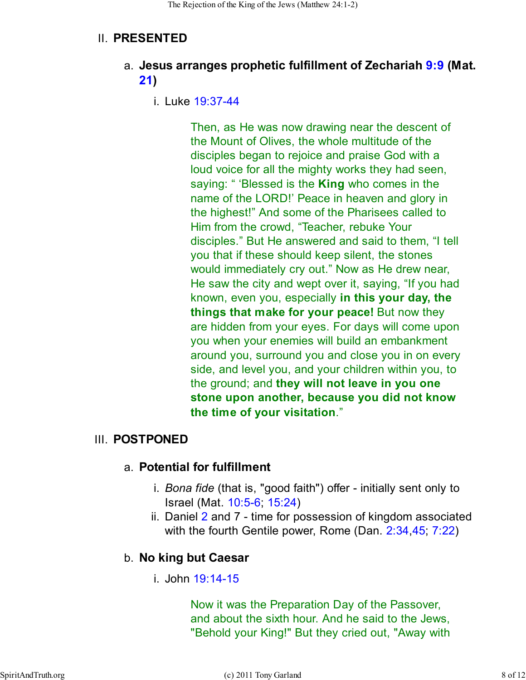#### II. **PRESENTED**

#### **Jesus arranges prophetic fulfillment of Zechariah 9:9 (Mat.** a. **21)**

i. Luke 19:37-44

Then, as He was now drawing near the descent of the Mount of Olives, the whole multitude of the disciples began to rejoice and praise God with a loud voice for all the mighty works they had seen, saying: " 'Blessed is the **King** who comes in the name of the LORD!' Peace in heaven and glory in the highest!" And some of the Pharisees called to Him from the crowd, "Teacher, rebuke Your disciples." But He answered and said to them, "I tell you that if these should keep silent, the stones would immediately cry out." Now as He drew near, He saw the city and wept over it, saying, "If you had known, even you, especially **in this your day, the things that make for your peace!** But now they are hidden from your eyes. For days will come upon you when your enemies will build an embankment around you, surround you and close you in on every side, and level you, and your children within you, to the ground; and **they will not leave in you one stone upon another, because you did not know the time of your visitation**."

#### III. **POSTPONED**

#### a. **Potential for fulfillment**

- i. *Bona fide* (that is, "good faith") offer initially sent only to Israel (Mat. 10:5-6; 15:24)
- ii. Daniel 2 and 7 time for possession of kingdom associated with the fourth Gentile power, Rome (Dan. 2:34,45; 7:22)

#### b. **No king but Caesar**

i. John 19:14-15

Now it was the Preparation Day of the Passover, and about the sixth hour. And he said to the Jews, "Behold your King!" But they cried out, "Away with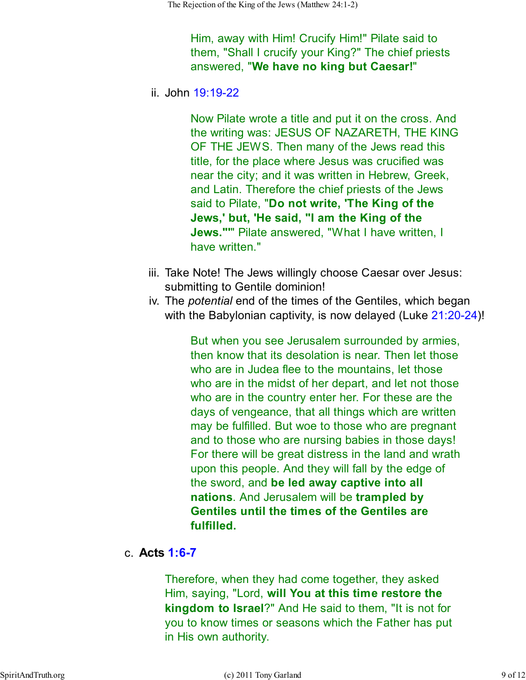Him, away with Him! Crucify Him!" Pilate said to them, "Shall I crucify your King?" The chief priests answered, "**We have no king but Caesar!**"

ii. John 19:19-22

Now Pilate wrote a title and put it on the cross. And the writing was: JESUS OF NAZARETH, THE KING OF THE JEWS. Then many of the Jews read this title, for the place where Jesus was crucified was near the city; and it was written in Hebrew, Greek, and Latin. Therefore the chief priests of the Jews said to Pilate, "**Do not write, 'The King of the Jews,' but, 'He said, "I am the King of the Jews."'**" Pilate answered, "What I have written, I have written."

- iii. Take Note! The Jews willingly choose Caesar over Jesus: submitting to Gentile dominion!
- iv. The *potential* end of the times of the Gentiles, which began with the Babylonian captivity, is now delayed (Luke 21:20-24)!

But when you see Jerusalem surrounded by armies, then know that its desolation is near. Then let those who are in Judea flee to the mountains, let those who are in the midst of her depart, and let not those who are in the country enter her. For these are the days of vengeance, that all things which are written may be fulfilled. But woe to those who are pregnant and to those who are nursing babies in those days! For there will be great distress in the land and wrath upon this people. And they will fall by the edge of the sword, and **be led away captive into all nations**. And Jerusalem will be **trampled by Gentiles until the times of the Gentiles are fulfilled.**

#### **Acts 1:6-7** c.

Therefore, when they had come together, they asked Him, saying, "Lord, **will You at this time restore the kingdom to Israel**?" And He said to them, "It is not for you to know times or seasons which the Father has put in His own authority.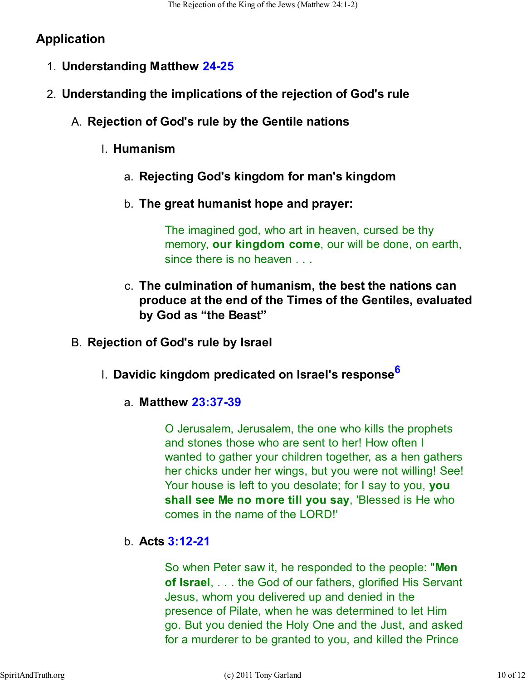# **Application**

- 1. **Understanding Matthew 24-25**
- 2. **Understanding the implications of the rejection of God's rule**

# A. **Rejection of God's rule by the Gentile nations**

- I. **Humanism**
	- a. **Rejecting God's kingdom for man's kingdom**
	- **The great humanist hope and prayer:** b.

The imagined god, who art in heaven, cursed be thy memory, **our kingdom come**, our will be done, on earth, since there is no heaven . . .

- **The culmination of humanism, the best the nations can** c. **produce at the end of the Times of the Gentiles, evaluated by God as "the Beast"**
- B. **Rejection of God's rule by Israel**
	- **Davidic kingdom predicated on Israel's response<sup>6</sup>** I.

# **Matthew 23:37-39** a.

O Jerusalem, Jerusalem, the one who kills the prophets and stones those who are sent to her! How often I wanted to gather your children together, as a hen gathers her chicks under her wings, but you were not willing! See! Your house is left to you desolate; for I say to you, **you shall see Me no more till you say**, 'Blessed is He who comes in the name of the LORD!'

**Acts 3:12-21** b.

So when Peter saw it, he responded to the people: "**Men of Israel**, . . . the God of our fathers, glorified His Servant Jesus, whom you delivered up and denied in the presence of Pilate, when he was determined to let Him go. But you denied the Holy One and the Just, and asked for a murderer to be granted to you, and killed the Prince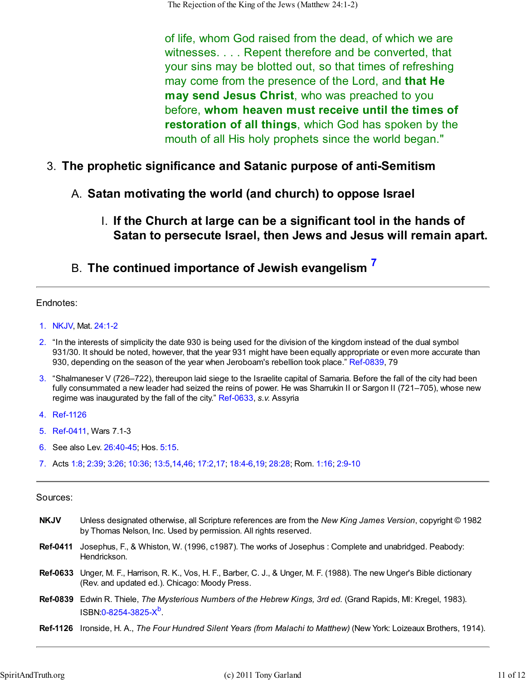of life, whom God raised from the dead, of which we are witnesses. . . . Repent therefore and be converted, that your sins may be blotted out, so that times of refreshing may come from the presence of the Lord, and **that He may send Jesus Christ**, who was preached to you before, **whom heaven must receive until the times of restoration of all things**, which God has spoken by the mouth of all His holy prophets since the world began."

#### 3. **The prophetic significance and Satanic purpose of anti-Semitism**

A. **Satan motivating the world (and church) to oppose Israel**

#### **If the Church at large can be a significant tool in the hands of** I. **Satan to persecute Israel, then Jews and Jesus will remain apart.**

# **B. The continued importance of Jewish evangelism**

#### Endnotes:

- 1. NKJV, Mat. 24:1-2
- 2. "In the interests of simplicity the date 930 is being used for the division of the kingdom instead of the dual symbol 931/30. It should be noted, however, that the year 931 might have been equally appropriate or even more accurate than 930, depending on the season of the year when Jeroboam's rebellion took place." Ref-0839, 79
- 3. "Shalmaneser V (726–722), thereupon laid siege to the Israelite capital of Samaria. Before the fall of the city had been fully consummated a new leader had seized the reins of power. He was Sharrukin II or Sargon II (721–705), whose new regime was inaugurated by the fall of the city." Ref-0633, *s.v.* Assyria
- 4. Ref-1126
- 5. Ref-0411, Wars 7.1-3
- 6. See also Lev. 26:40-45; Hos. 5:15.
- 7. Acts 1:8; 2:39; 3:26; 10:36; 13:5,14,46; 17:2,17; 18:4-6,19; 28:28; Rom. 1:16; 2:9-10

#### Sources:

- **NKJV** Unless designated otherwise, all Scripture references are from the *New King James Version*, copyright © 1982 by Thomas Nelson, Inc. Used by permission. All rights reserved.
- **Ref-0411** Josephus, F., & Whiston, W. (1996, c1987). The works of Josephus : Complete and unabridged. Peabody: Hendrickson.
- **Ref-0633** Unger, M. F., Harrison, R. K., Vos, H. F., Barber, C. J., & Unger, M. F. (1988). The new Unger's Bible dictionary (Rev. and updated ed.). Chicago: Moody Press.
- **Ref-0839** Edwin R. Thiele, *The Mysterious Numbers of the Hebrew Kings, 3rd ed.* (Grand Rapids, MI: Kregel, 1983). ISBN:0-8254-3825-X<sup>b</sup>.
- **Ref-1126** Ironside, H. A., *The Four Hundred Silent Years (from Malachi to Matthew)* (New York: Loizeaux Brothers, 1914).